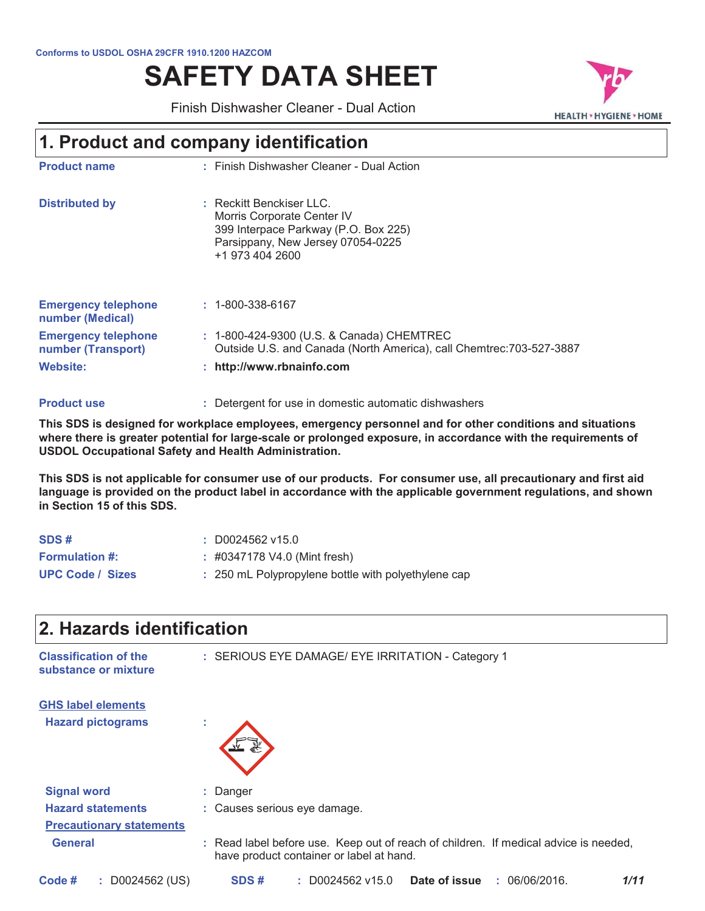#### Conforms to USDOL OSHA 29CFR 1910.1200 HAZCOM

# **SAFETY DATA SHEET**

**HEALTH > HYGIENE > HOME** 

Finish Dishwasher Cleaner - Dual Action

### 1. Product and company identification

| <b>Product name</b>                              | : Finish Dishwasher Cleaner - Dual Action                                                                                                              |
|--------------------------------------------------|--------------------------------------------------------------------------------------------------------------------------------------------------------|
| <b>Distributed by</b>                            | : Reckitt Benckiser LLC.<br>Morris Corporate Center IV<br>399 Interpace Parkway (P.O. Box 225)<br>Parsippany, New Jersey 07054-0225<br>+1 973 404 2600 |
| <b>Emergency telephone</b><br>number (Medical)   | $: 1 - 800 - 338 - 6167$                                                                                                                               |
| <b>Emergency telephone</b><br>number (Transport) | : 1-800-424-9300 (U.S. & Canada) CHEMTREC<br>Outside U.S. and Canada (North America), call Chemtrec: 703-527-3887                                      |
| Website:                                         | : http://www.rbnainfo.com                                                                                                                              |
|                                                  |                                                                                                                                                        |

#### : Detergent for use in domestic automatic dishwashers **Product use**

This SDS is designed for workplace employees, emergency personnel and for other conditions and situations where there is greater potential for large-scale or prolonged exposure, in accordance with the requirements of **USDOL Occupational Safety and Health Administration.** 

This SDS is not applicable for consumer use of our products. For consumer use, all precautionary and first aid language is provided on the product label in accordance with the applicable government regulations, and shown in Section 15 of this SDS.

| SDS#                    | $\div$ D0024562 v15.0                               |
|-------------------------|-----------------------------------------------------|
| <b>Formulation #:</b>   | $\pm$ #0347178 V4.0 (Mint fresh)                    |
| <b>UPC Code / Sizes</b> | : 250 mL Polypropylene bottle with polyethylene cap |

| 2. Hazards identification                            |                                                                                                                                  |
|------------------------------------------------------|----------------------------------------------------------------------------------------------------------------------------------|
| <b>Classification of the</b><br>substance or mixture | : SERIOUS EYE DAMAGE/ EYE IRRITATION - Category 1                                                                                |
| <b>GHS label elements</b>                            |                                                                                                                                  |
| <b>Hazard pictograms</b>                             |                                                                                                                                  |
| <b>Signal word</b>                                   | : Danger                                                                                                                         |
| <b>Hazard statements</b>                             | : Causes serious eye damage.                                                                                                     |
| <b>Precautionary statements</b>                      |                                                                                                                                  |
| <b>General</b>                                       | : Read label before use. Keep out of reach of children. If medical advice is needed,<br>have product container or label at hand. |
| $:$ D0024562 (US)<br>Code #                          | SDS#<br>$: $ D0024562 v15.0<br>Date of issue<br>1/11<br>: 06/06/2016.                                                            |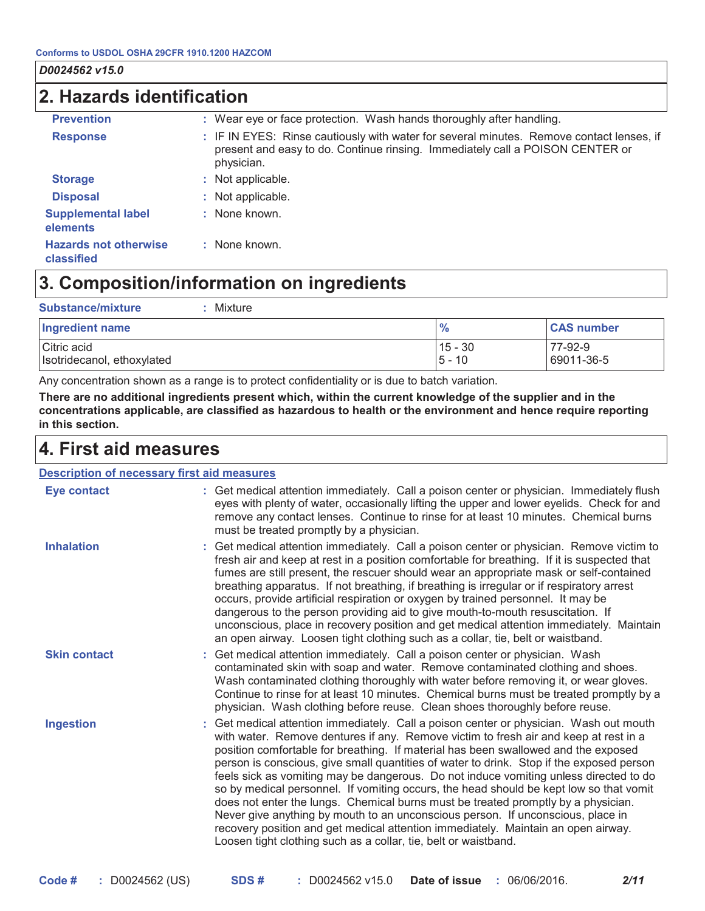### 2. Hazards identification

| <b>Prevention</b>                          | : Wear eye or face protection. Wash hands thoroughly after handling.                                                                                                                    |
|--------------------------------------------|-----------------------------------------------------------------------------------------------------------------------------------------------------------------------------------------|
| <b>Response</b>                            | : IF IN EYES: Rinse cautiously with water for several minutes. Remove contact lenses, if<br>present and easy to do. Continue rinsing. Immediately call a POISON CENTER or<br>physician. |
| <b>Storage</b>                             | : Not applicable.                                                                                                                                                                       |
| <b>Disposal</b>                            | : Not applicable.                                                                                                                                                                       |
| <b>Supplemental label</b><br>elements      | : None known.                                                                                                                                                                           |
| <b>Hazards not otherwise</b><br>classified | : None known.                                                                                                                                                                           |

### 3. Composition/information on ingredients

| Substance/mixture<br>Mixture              |                       |                       |
|-------------------------------------------|-----------------------|-----------------------|
| Ingredient name                           | $\frac{9}{6}$         | <b>CAS number</b>     |
| Citric acid<br>Isotridecanol, ethoxylated | $15 - 30$<br>$5 - 10$ | 77-92-9<br>69011-36-5 |

Any concentration shown as a range is to protect confidentiality or is due to batch variation.

There are no additional ingredients present which, within the current knowledge of the supplier and in the concentrations applicable, are classified as hazardous to health or the environment and hence require reporting in this section.

#### 4. First aid measures

#### **Description of necessary first aid measures**

| <b>Eye contact</b>  | : Get medical attention immediately. Call a poison center or physician. Immediately flush<br>eyes with plenty of water, occasionally lifting the upper and lower eyelids. Check for and<br>remove any contact lenses. Continue to rinse for at least 10 minutes. Chemical burns<br>must be treated promptly by a physician.                                                                                                                                                                                                                                                                                                                                                                                                                                                                                                                                                         |
|---------------------|-------------------------------------------------------------------------------------------------------------------------------------------------------------------------------------------------------------------------------------------------------------------------------------------------------------------------------------------------------------------------------------------------------------------------------------------------------------------------------------------------------------------------------------------------------------------------------------------------------------------------------------------------------------------------------------------------------------------------------------------------------------------------------------------------------------------------------------------------------------------------------------|
| <b>Inhalation</b>   | : Get medical attention immediately. Call a poison center or physician. Remove victim to<br>fresh air and keep at rest in a position comfortable for breathing. If it is suspected that<br>fumes are still present, the rescuer should wear an appropriate mask or self-contained<br>breathing apparatus. If not breathing, if breathing is irregular or if respiratory arrest<br>occurs, provide artificial respiration or oxygen by trained personnel. It may be<br>dangerous to the person providing aid to give mouth-to-mouth resuscitation. If<br>unconscious, place in recovery position and get medical attention immediately. Maintain<br>an open airway. Loosen tight clothing such as a collar, tie, belt or waistband.                                                                                                                                                  |
| <b>Skin contact</b> | : Get medical attention immediately. Call a poison center or physician. Wash<br>contaminated skin with soap and water. Remove contaminated clothing and shoes.<br>Wash contaminated clothing thoroughly with water before removing it, or wear gloves.<br>Continue to rinse for at least 10 minutes. Chemical burns must be treated promptly by a<br>physician. Wash clothing before reuse. Clean shoes thoroughly before reuse.                                                                                                                                                                                                                                                                                                                                                                                                                                                    |
| <b>Ingestion</b>    | : Get medical attention immediately. Call a poison center or physician. Wash out mouth<br>with water. Remove dentures if any. Remove victim to fresh air and keep at rest in a<br>position comfortable for breathing. If material has been swallowed and the exposed<br>person is conscious, give small quantities of water to drink. Stop if the exposed person<br>feels sick as vomiting may be dangerous. Do not induce vomiting unless directed to do<br>so by medical personnel. If vomiting occurs, the head should be kept low so that vomit<br>does not enter the lungs. Chemical burns must be treated promptly by a physician.<br>Never give anything by mouth to an unconscious person. If unconscious, place in<br>recovery position and get medical attention immediately. Maintain an open airway.<br>Loosen tight clothing such as a collar, tie, belt or waistband. |

 $2/11$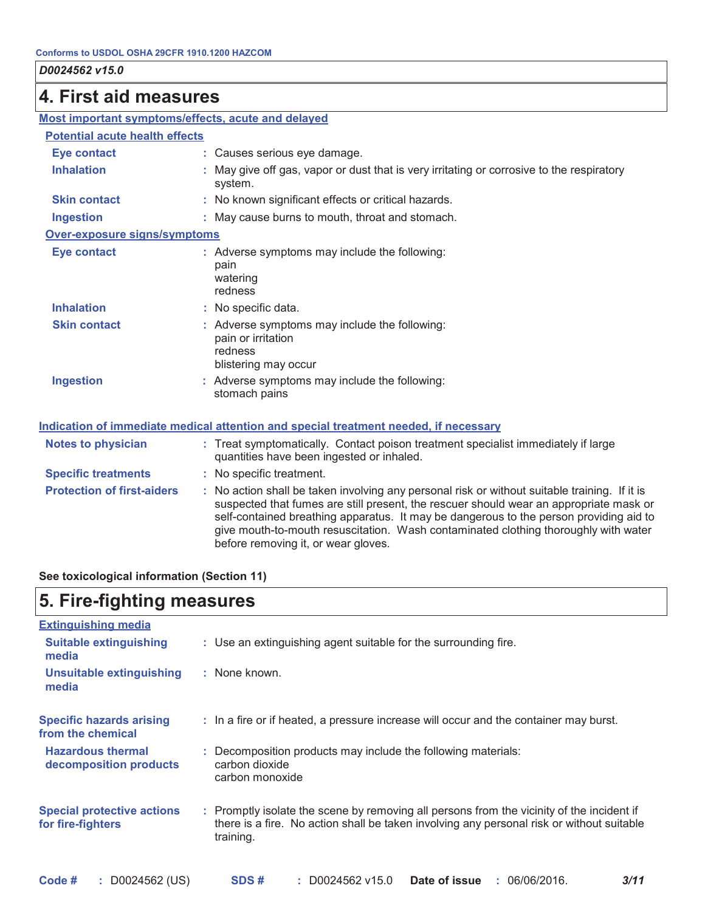#### 4. First aid measures

| Most important symptoms/effects, acute and delayed |                                                                                                                                                                                                                                                                                                                                                                                                                 |
|----------------------------------------------------|-----------------------------------------------------------------------------------------------------------------------------------------------------------------------------------------------------------------------------------------------------------------------------------------------------------------------------------------------------------------------------------------------------------------|
| <b>Potential acute health effects</b>              |                                                                                                                                                                                                                                                                                                                                                                                                                 |
| <b>Eye contact</b>                                 | : Causes serious eye damage.                                                                                                                                                                                                                                                                                                                                                                                    |
| <b>Inhalation</b>                                  | May give off gas, vapor or dust that is very irritating or corrosive to the respiratory<br>system.                                                                                                                                                                                                                                                                                                              |
| <b>Skin contact</b>                                | : No known significant effects or critical hazards.                                                                                                                                                                                                                                                                                                                                                             |
| <b>Ingestion</b>                                   | : May cause burns to mouth, throat and stomach.                                                                                                                                                                                                                                                                                                                                                                 |
| Over-exposure signs/symptoms                       |                                                                                                                                                                                                                                                                                                                                                                                                                 |
| <b>Eye contact</b>                                 | : Adverse symptoms may include the following:<br>pain<br>watering<br>redness                                                                                                                                                                                                                                                                                                                                    |
| <b>Inhalation</b>                                  | : No specific data.                                                                                                                                                                                                                                                                                                                                                                                             |
| <b>Skin contact</b>                                | : Adverse symptoms may include the following:<br>pain or irritation<br>redness<br>blistering may occur                                                                                                                                                                                                                                                                                                          |
| <b>Ingestion</b>                                   | : Adverse symptoms may include the following:<br>stomach pains                                                                                                                                                                                                                                                                                                                                                  |
|                                                    | Indication of immediate medical attention and special treatment needed, if necessary                                                                                                                                                                                                                                                                                                                            |
| <b>Notes to physician</b>                          | : Treat symptomatically. Contact poison treatment specialist immediately if large<br>quantities have been ingested or inhaled.                                                                                                                                                                                                                                                                                  |
| <b>Specific treatments</b>                         | : No specific treatment.                                                                                                                                                                                                                                                                                                                                                                                        |
| <b>Protection of first-aiders</b>                  | : No action shall be taken involving any personal risk or without suitable training. If it is<br>suspected that fumes are still present, the rescuer should wear an appropriate mask or<br>self-contained breathing apparatus. It may be dangerous to the person providing aid to<br>give mouth-to-mouth resuscitation. Wash contaminated clothing thoroughly with water<br>before removing it, or wear gloves. |

#### See toxicological information (Section 11)

### 5. Fire-fighting measures

| <b>Extinguishing media</b>                             |                                                                                                                                                                                                     |
|--------------------------------------------------------|-----------------------------------------------------------------------------------------------------------------------------------------------------------------------------------------------------|
| <b>Suitable extinguishing</b><br>media                 | : Use an extinguishing agent suitable for the surrounding fire.                                                                                                                                     |
| <b>Unsuitable extinguishing</b><br>media               | : None known.                                                                                                                                                                                       |
| <b>Specific hazards arising</b><br>from the chemical   | : In a fire or if heated, a pressure increase will occur and the container may burst.                                                                                                               |
| <b>Hazardous thermal</b><br>decomposition products     | : Decomposition products may include the following materials:<br>carbon dioxide<br>carbon monoxide                                                                                                  |
| <b>Special protective actions</b><br>for fire-fighters | : Promptly isolate the scene by removing all persons from the vicinity of the incident if<br>there is a fire. No action shall be taken involving any personal risk or without suitable<br>training. |
| : D0024562 (US)<br>Code #                              | Date of issue<br>SDS#<br>$: $ D0024562 v15.0<br>: 06/06/2016.<br>3/11                                                                                                                               |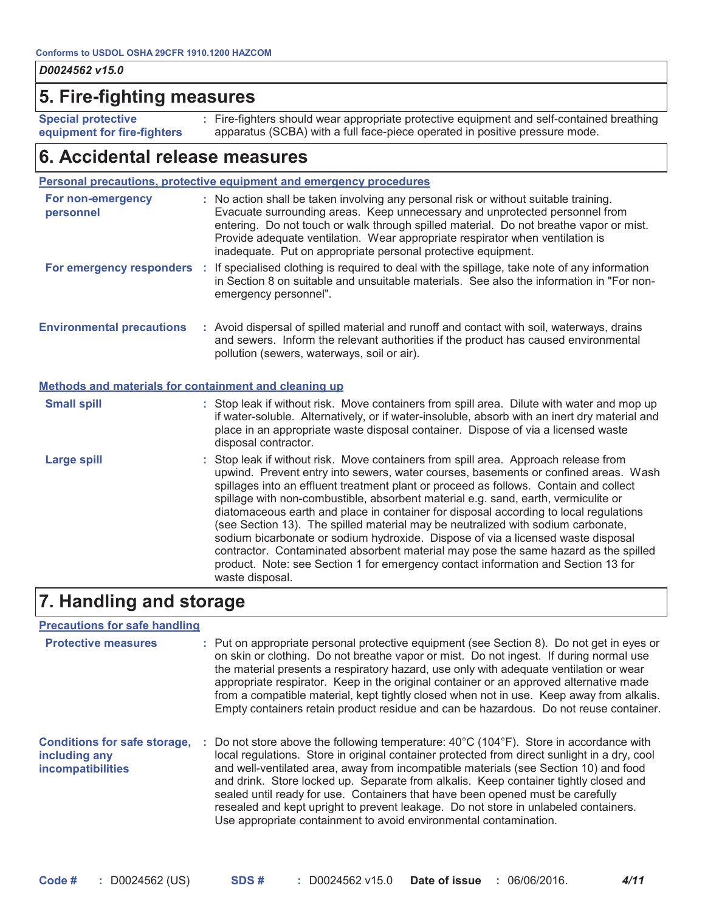#### 5. Fire-fighting measures

**Special protective** equipment for fire-fighters : Fire-fighters should wear appropriate protective equipment and self-contained breathing apparatus (SCBA) with a full face-piece operated in positive pressure mode.

#### 6. Accidental release measures

#### Personal precautions, protective equipment and emergency procedures

| For non-emergency<br>personnel                        | : No action shall be taken involving any personal risk or without suitable training.<br>Evacuate surrounding areas. Keep unnecessary and unprotected personnel from<br>entering. Do not touch or walk through spilled material. Do not breathe vapor or mist.<br>Provide adequate ventilation. Wear appropriate respirator when ventilation is<br>inadequate. Put on appropriate personal protective equipment.                                                                                                                                                                                                                                                                                                                                                                                                           |
|-------------------------------------------------------|---------------------------------------------------------------------------------------------------------------------------------------------------------------------------------------------------------------------------------------------------------------------------------------------------------------------------------------------------------------------------------------------------------------------------------------------------------------------------------------------------------------------------------------------------------------------------------------------------------------------------------------------------------------------------------------------------------------------------------------------------------------------------------------------------------------------------|
|                                                       | For emergency responders : If specialised clothing is required to deal with the spillage, take note of any information<br>in Section 8 on suitable and unsuitable materials. See also the information in "For non-<br>emergency personnel".                                                                                                                                                                                                                                                                                                                                                                                                                                                                                                                                                                               |
| <b>Environmental precautions</b>                      | : Avoid dispersal of spilled material and runoff and contact with soil, waterways, drains<br>and sewers. Inform the relevant authorities if the product has caused environmental<br>pollution (sewers, waterways, soil or air).                                                                                                                                                                                                                                                                                                                                                                                                                                                                                                                                                                                           |
| Methods and materials for containment and cleaning up |                                                                                                                                                                                                                                                                                                                                                                                                                                                                                                                                                                                                                                                                                                                                                                                                                           |
| <b>Small spill</b>                                    | : Stop leak if without risk. Move containers from spill area. Dilute with water and mop up<br>if water-soluble. Alternatively, or if water-insoluble, absorb with an inert dry material and<br>place in an appropriate waste disposal container. Dispose of via a licensed waste<br>disposal contractor.                                                                                                                                                                                                                                                                                                                                                                                                                                                                                                                  |
| <b>Large spill</b>                                    | : Stop leak if without risk. Move containers from spill area. Approach release from<br>upwind. Prevent entry into sewers, water courses, basements or confined areas. Wash<br>spillages into an effluent treatment plant or proceed as follows. Contain and collect<br>spillage with non-combustible, absorbent material e.g. sand, earth, vermiculite or<br>diatomaceous earth and place in container for disposal according to local regulations<br>(see Section 13). The spilled material may be neutralized with sodium carbonate,<br>sodium bicarbonate or sodium hydroxide. Dispose of via a licensed waste disposal<br>contractor. Contaminated absorbent material may pose the same hazard as the spilled<br>product. Note: see Section 1 for emergency contact information and Section 13 for<br>waste disposal. |
|                                                       |                                                                                                                                                                                                                                                                                                                                                                                                                                                                                                                                                                                                                                                                                                                                                                                                                           |

### 7. Handling and storage

| <b>Precautions for safe handling</b>                                             |                                                                                                                                                                                                                                                                                                                                                                                                                                                                                                                                                                                                                                           |
|----------------------------------------------------------------------------------|-------------------------------------------------------------------------------------------------------------------------------------------------------------------------------------------------------------------------------------------------------------------------------------------------------------------------------------------------------------------------------------------------------------------------------------------------------------------------------------------------------------------------------------------------------------------------------------------------------------------------------------------|
| <b>Protective measures</b>                                                       | : Put on appropriate personal protective equipment (see Section 8). Do not get in eyes or<br>on skin or clothing. Do not breathe vapor or mist. Do not ingest. If during normal use<br>the material presents a respiratory hazard, use only with adequate ventilation or wear<br>appropriate respirator. Keep in the original container or an approved alternative made<br>from a compatible material, kept tightly closed when not in use. Keep away from alkalis.<br>Empty containers retain product residue and can be hazardous. Do not reuse container.                                                                              |
| <b>Conditions for safe storage,</b><br>including any<br><b>incompatibilities</b> | : Do not store above the following temperature: $40^{\circ}$ C (104 $^{\circ}$ F). Store in accordance with<br>local regulations. Store in original container protected from direct sunlight in a dry, cool<br>and well-ventilated area, away from incompatible materials (see Section 10) and food<br>and drink. Store locked up. Separate from alkalis. Keep container tightly closed and<br>sealed until ready for use. Containers that have been opened must be carefully<br>resealed and kept upright to prevent leakage. Do not store in unlabeled containers.<br>Use appropriate containment to avoid environmental contamination. |

 $4/11$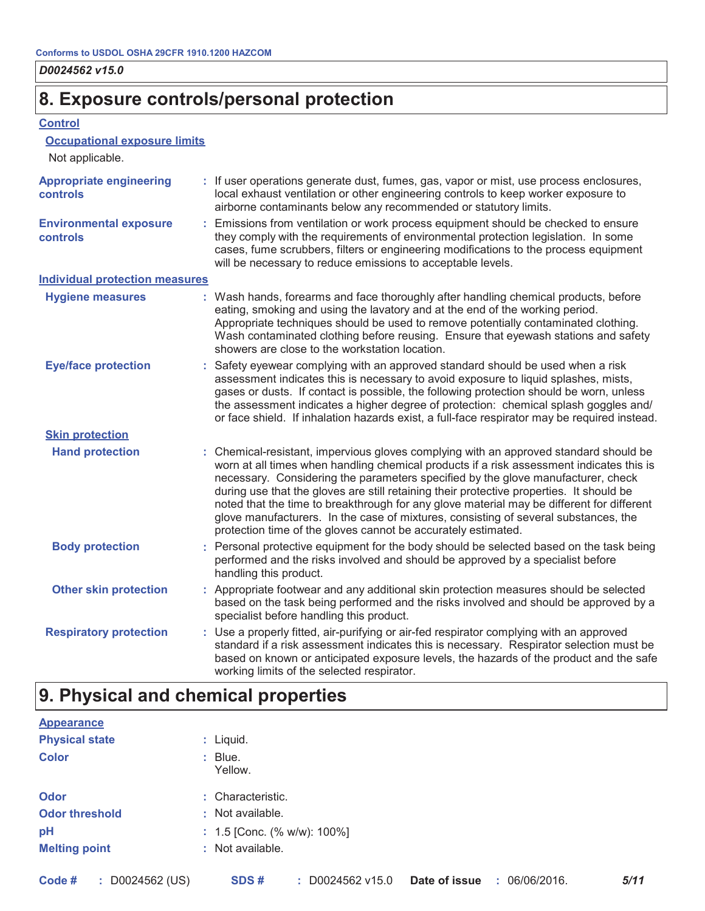### 8. Exposure controls/personal protection

#### **Control**

#### **Occupational exposure limits**

| Not applicable.                            |                                                                                                                                                                                                                                                                                                                                                                                                                                                                                                                                                                                                                        |  |
|--------------------------------------------|------------------------------------------------------------------------------------------------------------------------------------------------------------------------------------------------------------------------------------------------------------------------------------------------------------------------------------------------------------------------------------------------------------------------------------------------------------------------------------------------------------------------------------------------------------------------------------------------------------------------|--|
| <b>Appropriate engineering</b><br>controls | : If user operations generate dust, fumes, gas, vapor or mist, use process enclosures,<br>local exhaust ventilation or other engineering controls to keep worker exposure to<br>airborne contaminants below any recommended or statutory limits.                                                                                                                                                                                                                                                                                                                                                                       |  |
| <b>Environmental exposure</b><br>controls  | : Emissions from ventilation or work process equipment should be checked to ensure<br>they comply with the requirements of environmental protection legislation. In some<br>cases, fume scrubbers, filters or engineering modifications to the process equipment<br>will be necessary to reduce emissions to acceptable levels.                                                                                                                                                                                                                                                                                        |  |
| <b>Individual protection measures</b>      |                                                                                                                                                                                                                                                                                                                                                                                                                                                                                                                                                                                                                        |  |
| <b>Hygiene measures</b>                    | : Wash hands, forearms and face thoroughly after handling chemical products, before<br>eating, smoking and using the lavatory and at the end of the working period.<br>Appropriate techniques should be used to remove potentially contaminated clothing.<br>Wash contaminated clothing before reusing. Ensure that eyewash stations and safety<br>showers are close to the workstation location.                                                                                                                                                                                                                      |  |
| <b>Eye/face protection</b>                 | : Safety eyewear complying with an approved standard should be used when a risk<br>assessment indicates this is necessary to avoid exposure to liquid splashes, mists,<br>gases or dusts. If contact is possible, the following protection should be worn, unless<br>the assessment indicates a higher degree of protection: chemical splash goggles and/<br>or face shield. If inhalation hazards exist, a full-face respirator may be required instead.                                                                                                                                                              |  |
| <b>Skin protection</b>                     |                                                                                                                                                                                                                                                                                                                                                                                                                                                                                                                                                                                                                        |  |
| <b>Hand protection</b>                     | : Chemical-resistant, impervious gloves complying with an approved standard should be<br>worn at all times when handling chemical products if a risk assessment indicates this is<br>necessary. Considering the parameters specified by the glove manufacturer, check<br>during use that the gloves are still retaining their protective properties. It should be<br>noted that the time to breakthrough for any glove material may be different for different<br>glove manufacturers. In the case of mixtures, consisting of several substances, the<br>protection time of the gloves cannot be accurately estimated. |  |
| <b>Body protection</b>                     | : Personal protective equipment for the body should be selected based on the task being<br>performed and the risks involved and should be approved by a specialist before<br>handling this product.                                                                                                                                                                                                                                                                                                                                                                                                                    |  |
| <b>Other skin protection</b>               | : Appropriate footwear and any additional skin protection measures should be selected<br>based on the task being performed and the risks involved and should be approved by a<br>specialist before handling this product.                                                                                                                                                                                                                                                                                                                                                                                              |  |
| <b>Respiratory protection</b>              | : Use a properly fitted, air-purifying or air-fed respirator complying with an approved<br>standard if a risk assessment indicates this is necessary. Respirator selection must be<br>based on known or anticipated exposure levels, the hazards of the product and the safe<br>working limits of the selected respirator.                                                                                                                                                                                                                                                                                             |  |
|                                            |                                                                                                                                                                                                                                                                                                                                                                                                                                                                                                                                                                                                                        |  |

## 9. Physical and chemical properties

| <b>Appearance</b>     |                                   |
|-----------------------|-----------------------------------|
| <b>Physical state</b> | : Liquid.                         |
| <b>Color</b>          | : Blue.<br>Yellow.                |
| <b>Odor</b>           | : Characteristic.                 |
| <b>Odor threshold</b> | : Not available.                  |
| pH                    | : $1.5$ [Conc. (% w/w): $100\%$ ] |
| <b>Melting point</b>  | : Not available.                  |
|                       |                                   |
|                       |                                   |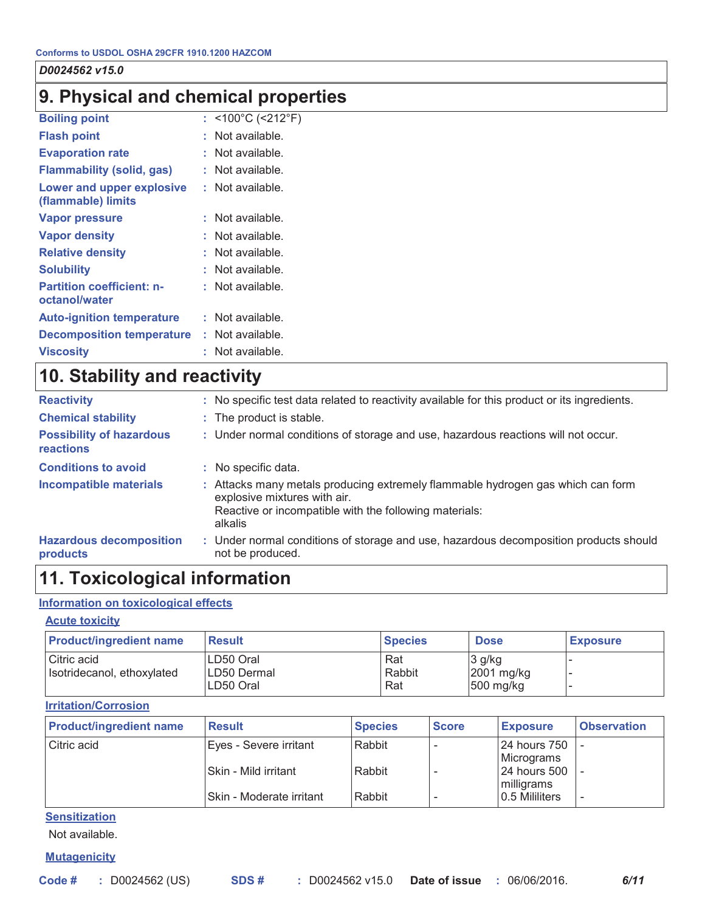### 9. Physical and chemical properties

| <b>Boiling point</b>                              | : <100°C (<212°F) |
|---------------------------------------------------|-------------------|
| <b>Flash point</b>                                | Not available.    |
| <b>Evaporation rate</b>                           | Not available.    |
| <b>Flammability (solid, gas)</b>                  | Not available.    |
| Lower and upper explosive<br>(flammable) limits   | Not available.    |
| <b>Vapor pressure</b>                             | Not available.    |
| <b>Vapor density</b>                              | Not available.    |
| <b>Relative density</b>                           | Not available.    |
| <b>Solubility</b>                                 | Not available.    |
| <b>Partition coefficient: n-</b><br>octanol/water | Not available.    |
| <b>Auto-ignition temperature</b>                  | Not available.    |
| <b>Decomposition temperature</b>                  | Not available.    |
| <b>Viscosity</b>                                  | Not available.    |
|                                                   |                   |

### 10. Stability and reactivity

| <b>Reactivity</b>                                   | : No specific test data related to reactivity available for this product or its ingredients.                                                                                         |
|-----------------------------------------------------|--------------------------------------------------------------------------------------------------------------------------------------------------------------------------------------|
| <b>Chemical stability</b>                           | : The product is stable.                                                                                                                                                             |
| <b>Possibility of hazardous</b><br><b>reactions</b> | : Under normal conditions of storage and use, hazardous reactions will not occur.                                                                                                    |
| <b>Conditions to avoid</b>                          | : No specific data.                                                                                                                                                                  |
| Incompatible materials                              | : Attacks many metals producing extremely flammable hydrogen gas which can form<br>explosive mixtures with air.<br>Reactive or incompatible with the following materials:<br>alkalis |
| <b>Hazardous decomposition</b><br>products          | : Under normal conditions of storage and use, hazardous decomposition products should<br>not be produced.                                                                            |

### 11. Toxicological information

#### Information on toxicological effects

#### **Acute toxicity**

| <b>Product/ingredient name</b>            | <b>Result</b>                           | <b>Species</b>       | <b>Dose</b>                         | <b>Exposure</b> |
|-------------------------------------------|-----------------------------------------|----------------------|-------------------------------------|-----------------|
| Citric acid<br>Isotridecanol, ethoxylated | ILD50 Oral<br>ILD50 Dermal<br>LD50 Oral | Rat<br>Rabbit<br>Rat | $3$ g/kg<br>2001 mg/kg<br>500 mg/kg |                 |

#### **Irritation/Corrosion**

| <b>Product/ingredient name</b> | <b>Result</b>              | <b>Species</b> | <b>Score</b> | <b>Exposure</b>            | <b>Observation</b>       |
|--------------------------------|----------------------------|----------------|--------------|----------------------------|--------------------------|
| Citric acid                    | Eyes - Severe irritant     | Rabbit         |              | 24 hours 750<br>Micrograms |                          |
|                                | Skin - Mild irritant       | Rabbit         |              | 24 hours 500<br>milligrams |                          |
|                                | l Skin - Moderate irritant | Rabbit         |              | 0.5 Mililiters             | $\overline{\phantom{a}}$ |

**Sensitization** 

Not available.

**Mutagenicity**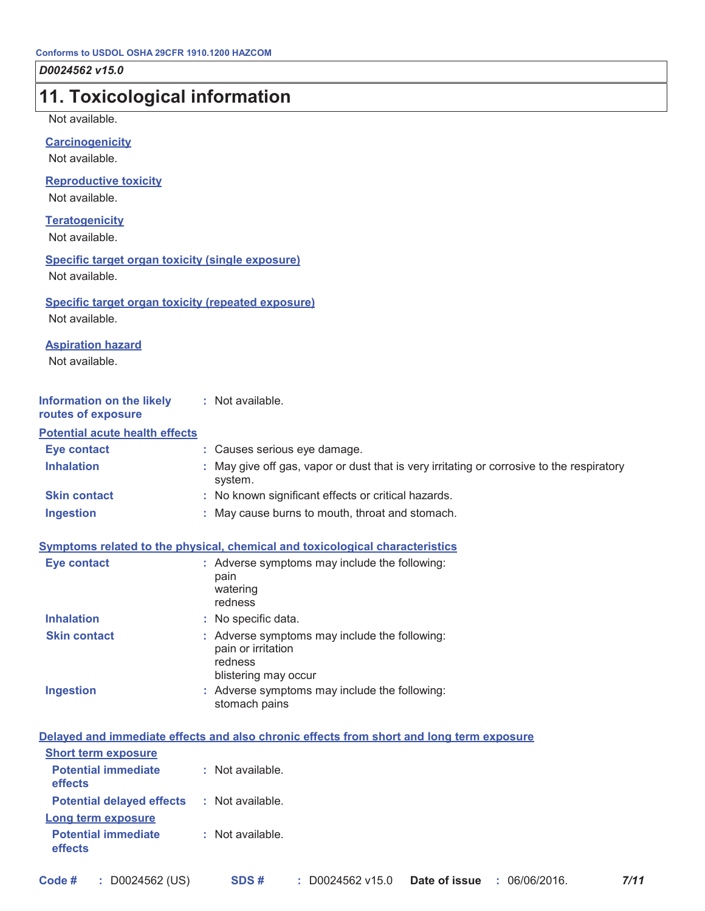| 11. Toxicological information                                               |                                                                                                        |
|-----------------------------------------------------------------------------|--------------------------------------------------------------------------------------------------------|
| Not available.                                                              |                                                                                                        |
| <b>Carcinogenicity</b>                                                      |                                                                                                        |
| Not available.                                                              |                                                                                                        |
| <b>Reproductive toxicity</b>                                                |                                                                                                        |
| Not available.                                                              |                                                                                                        |
| <b>Teratogenicity</b><br>Not available.                                     |                                                                                                        |
| <b>Specific target organ toxicity (single exposure)</b><br>Not available.   |                                                                                                        |
| <b>Specific target organ toxicity (repeated exposure)</b><br>Not available. |                                                                                                        |
| <b>Aspiration hazard</b><br>Not available.                                  |                                                                                                        |
| Information on the likely<br>routes of exposure                             | : Not available.                                                                                       |
| <b>Potential acute health effects</b>                                       |                                                                                                        |
| <b>Eye contact</b>                                                          | : Causes serious eye damage.                                                                           |
| <b>Inhalation</b>                                                           | May give off gas, vapor or dust that is very irritating or corrosive to the respiratory<br>system.     |
| <b>Skin contact</b>                                                         | : No known significant effects or critical hazards.                                                    |
| <b>Ingestion</b>                                                            | : May cause burns to mouth, throat and stomach.                                                        |
|                                                                             | Symptoms related to the physical, chemical and toxicological characteristics                           |
| <b>Eye contact</b>                                                          | : Adverse symptoms may include the following:                                                          |
|                                                                             | pain<br>watering<br>redness                                                                            |
| <b>Inhalation</b>                                                           | : No specific data.                                                                                    |
| <b>Skin contact</b>                                                         | : Adverse symptoms may include the following:<br>pain or irritation<br>redness<br>blistering may occur |
| <b>Ingestion</b>                                                            | : Adverse symptoms may include the following:<br>stomach pains                                         |
|                                                                             | Delayed and immediate effects and also chronic effects from short and long term exposure               |
| <b>Short term exposure</b>                                                  |                                                                                                        |
| <b>Potential immediate</b><br>effects                                       | : Not available.                                                                                       |
| <b>Potential delayed effects</b>                                            | : Not available.                                                                                       |
| Long term exposure                                                          |                                                                                                        |
| <b>Potential immediate</b><br>effects                                       | : Not available.                                                                                       |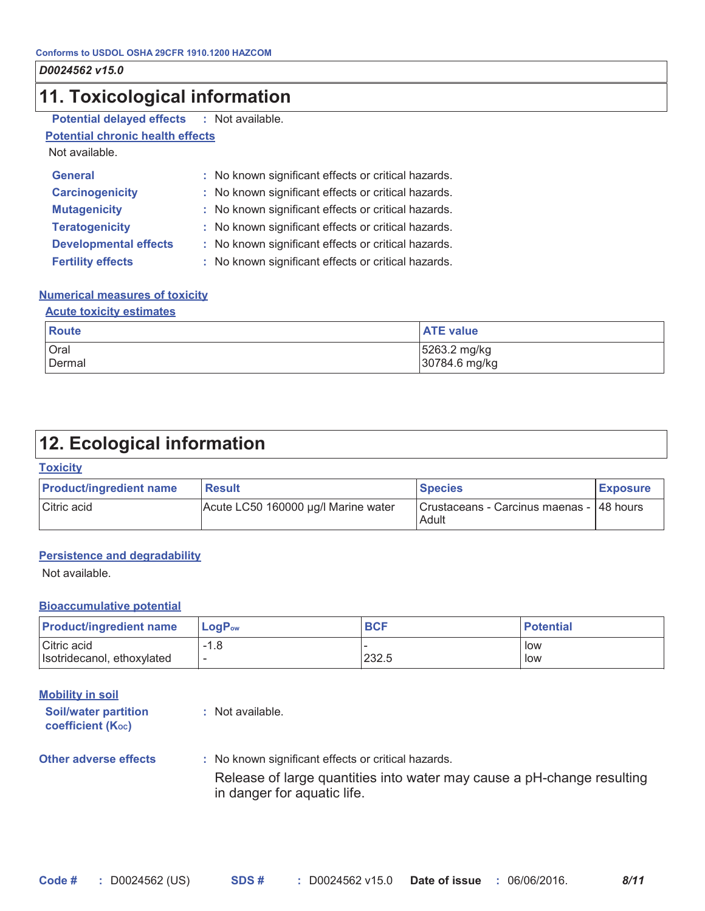### 11. Toxicological information

| <b>Potential delayed effects</b> |  | Not available |
|----------------------------------|--|---------------|
|----------------------------------|--|---------------|

**Potential chronic health effects** 

Not available.

| <b>General</b>               | : No known significant effects or critical hazards. |
|------------------------------|-----------------------------------------------------|
| <b>Carcinogenicity</b>       | : No known significant effects or critical hazards. |
| <b>Mutagenicity</b>          | : No known significant effects or critical hazards. |
| <b>Teratogenicity</b>        | : No known significant effects or critical hazards. |
| <b>Developmental effects</b> | : No known significant effects or critical hazards. |
| <b>Fertility effects</b>     | : No known significant effects or critical hazards. |

#### **Numerical measures of toxicity**

| <b>Acute toxicity estimates</b> |                               |  |  |  |
|---------------------------------|-------------------------------|--|--|--|
| Route                           | <b>ATE</b> value              |  |  |  |
| Oral<br>Dermal                  | 5263.2 mg/kg<br>30784.6 mg/kg |  |  |  |

### 12. Ecological information

#### **Toxicity**

| <b>Product/ingredient name</b> | <b>Result</b>                       | <b>Species</b>                                    | <b>Exposure</b> |
|--------------------------------|-------------------------------------|---------------------------------------------------|-----------------|
| Citric acid                    | Acute LC50 160000 µg/l Marine water | Crustaceans - Carcinus maenas - 48 hours<br>Adult |                 |

#### **Persistence and degradability**

Not available.

#### **Bioaccumulative potential**

| <b>Product/ingredient name</b> | $\mathsf{Loa}\mathsf{P}_{\mathsf{ow}}$ | <b>BCF</b> | <b>Potential</b> |
|--------------------------------|----------------------------------------|------------|------------------|
| Citric acid                    | -1.8                                   |            | low              |
| Isotridecanol, ethoxylated     | $\overline{\phantom{a}}$               | 232.5      | low              |

| <b>Mobility in soil</b>                                 |                                                                                                       |
|---------------------------------------------------------|-------------------------------------------------------------------------------------------------------|
| <b>Soil/water partition</b><br><b>coefficient (Koc)</b> | : Not available.                                                                                      |
| <b>Other adverse effects</b>                            | : No known significant effects or critical hazards.                                                   |
|                                                         | Release of large quantities into water may cause a pH-change resulting<br>in danger for aquatic life. |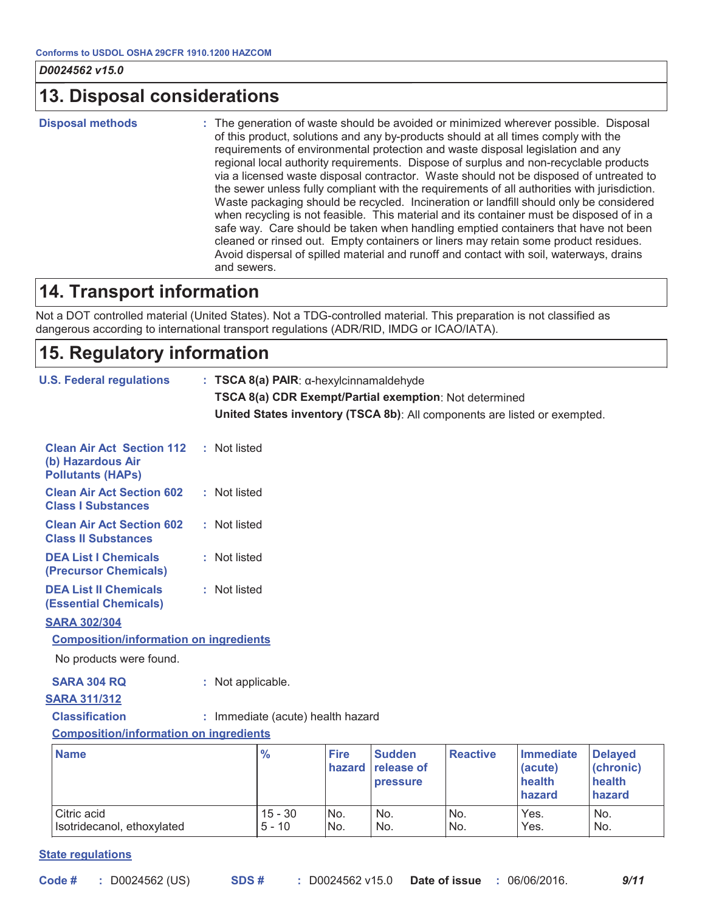### **13. Disposal considerations**

**Disposal methods** 

: The generation of waste should be avoided or minimized wherever possible. Disposal of this product, solutions and any by-products should at all times comply with the requirements of environmental protection and waste disposal legislation and any regional local authority requirements. Dispose of surplus and non-recyclable products via a licensed waste disposal contractor. Waste should not be disposed of untreated to the sewer unless fully compliant with the requirements of all authorities with jurisdiction. Waste packaging should be recycled. Incineration or landfill should only be considered when recycling is not feasible. This material and its container must be disposed of in a safe way. Care should be taken when handling emptied containers that have not been cleaned or rinsed out. Empty containers or liners may retain some product residues. Avoid dispersal of spilled material and runoff and contact with soil, waterways, drains and sewers.

### **14. Transport information**

Not a DOT controlled material (United States). Not a TDG-controlled material. This preparation is not classified as dangerous according to international transport regulations (ADR/RID, IMDG or ICAO/IATA).

### 15. Regulatory information

| <b>J.S. Federal regulations</b><br>$: TSCA 8(a) PAIR: \alpha-hexylcinnamaldehyde$<br>TSCA 8(a) CDR Exempt/Partial exemption: Not determined<br>United States inventory (TSCA 8b): All components are listed or exempted. |              |                   |                                   |                       |                                         |                 |                                                 |                                                 |
|--------------------------------------------------------------------------------------------------------------------------------------------------------------------------------------------------------------------------|--------------|-------------------|-----------------------------------|-----------------------|-----------------------------------------|-----------------|-------------------------------------------------|-------------------------------------------------|
| <b>Clean Air Act Section 112</b><br>(b) Hazardous Air<br><b>Pollutants (HAPs)</b>                                                                                                                                        |              | : Not listed      |                                   |                       |                                         |                 |                                                 |                                                 |
| <b>Clean Air Act Section 602</b><br><b>Class I Substances</b>                                                                                                                                                            |              | : Not listed      |                                   |                       |                                         |                 |                                                 |                                                 |
| <b>Clean Air Act Section 602</b><br><b>Class II Substances</b>                                                                                                                                                           |              | : Not listed      |                                   |                       |                                         |                 |                                                 |                                                 |
| <b>DEA List I Chemicals</b><br>(Precursor Chemicals)                                                                                                                                                                     |              | : Not listed      |                                   |                       |                                         |                 |                                                 |                                                 |
| <b>DEA List II Chemicals</b><br><b>(Essential Chemicals)</b>                                                                                                                                                             | : Not listed |                   |                                   |                       |                                         |                 |                                                 |                                                 |
| <b>SARA 302/304</b><br><b>Composition/information on ingredients</b><br>No products were found.                                                                                                                          |              |                   |                                   |                       |                                         |                 |                                                 |                                                 |
| <b>SARA 304 RQ</b>                                                                                                                                                                                                       |              | : Not applicable. |                                   |                       |                                         |                 |                                                 |                                                 |
| <b>SARA 311/312</b>                                                                                                                                                                                                      |              |                   |                                   |                       |                                         |                 |                                                 |                                                 |
| <b>Classification</b>                                                                                                                                                                                                    |              |                   | : Immediate (acute) health hazard |                       |                                         |                 |                                                 |                                                 |
| <b>Composition/information on ingredients</b>                                                                                                                                                                            |              |                   |                                   |                       |                                         |                 |                                                 |                                                 |
| <b>Name</b>                                                                                                                                                                                                              |              |                   | $\frac{9}{6}$                     | <b>Fire</b><br>hazard | <b>Sudden</b><br>release of<br>pressure | <b>Reactive</b> | <b>Immediate</b><br>(acute)<br>health<br>hazard | <b>Delayed</b><br>(chronic)<br>health<br>hazard |
| Citric acid<br>Isotridecanol, ethoxylated                                                                                                                                                                                |              |                   | $15 - 30$<br>$5 - 10$             | No.<br>No.            | No.<br>No.                              | No.<br>No.      | Yes.<br>Yes.                                    | No.<br>No.                                      |

#### **State requlations**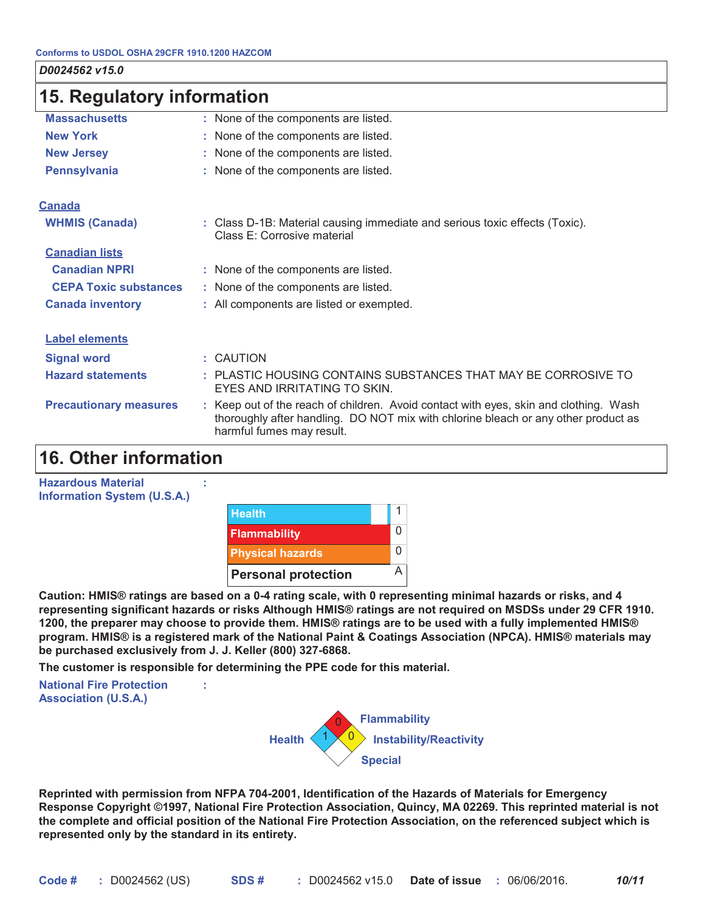| 15. Regulatory information    |                                                                                                                                                                                                          |  |  |
|-------------------------------|----------------------------------------------------------------------------------------------------------------------------------------------------------------------------------------------------------|--|--|
| <b>Massachusetts</b>          | : None of the components are listed.                                                                                                                                                                     |  |  |
| <b>New York</b>               | : None of the components are listed.                                                                                                                                                                     |  |  |
| <b>New Jersey</b>             | : None of the components are listed.                                                                                                                                                                     |  |  |
| <b>Pennsylvania</b>           | : None of the components are listed.                                                                                                                                                                     |  |  |
| <b>Canada</b>                 |                                                                                                                                                                                                          |  |  |
| <b>WHMIS (Canada)</b>         | : Class D-1B: Material causing immediate and serious toxic effects (Toxic).<br>Class E: Corrosive material                                                                                               |  |  |
| <b>Canadian lists</b>         |                                                                                                                                                                                                          |  |  |
| <b>Canadian NPRI</b>          | : None of the components are listed.                                                                                                                                                                     |  |  |
| <b>CEPA Toxic substances</b>  | : None of the components are listed.                                                                                                                                                                     |  |  |
| <b>Canada inventory</b>       | : All components are listed or exempted.                                                                                                                                                                 |  |  |
| <b>Label elements</b>         |                                                                                                                                                                                                          |  |  |
| <b>Signal word</b>            | : CAUTION                                                                                                                                                                                                |  |  |
| <b>Hazard statements</b>      | : PLASTIC HOUSING CONTAINS SUBSTANCES THAT MAY BE CORROSIVE TO<br>EYES AND IRRITATING TO SKIN.                                                                                                           |  |  |
| <b>Precautionary measures</b> | : Keep out of the reach of children. Avoid contact with eyes, skin and clothing. Wash<br>thoroughly after handling. DO NOT mix with chlorine bleach or any other product as<br>harmful fumes may result. |  |  |

### **16. Other information**

| <b>Hazardous Material</b><br><b>Information System (U.S.A.)</b> |                            |  |
|-----------------------------------------------------------------|----------------------------|--|
|                                                                 | <b>Health</b>              |  |
|                                                                 | <b>Flammability</b>        |  |
|                                                                 | <b>Physical hazards</b>    |  |
|                                                                 | <b>Personal protection</b> |  |

Caution: HMIS® ratings are based on a 0-4 rating scale, with 0 representing minimal hazards or risks, and 4 representing significant hazards or risks Although HMIS® ratings are not required on MSDSs under 29 CFR 1910. 1200, the preparer may choose to provide them. HMIS® ratings are to be used with a fully implemented HMIS® program. HMIS® is a registered mark of the National Paint & Coatings Association (NPCA). HMIS® materials may be purchased exclusively from J. J. Keller (800) 327-6868.

The customer is responsible for determining the PPE code for this material.

ċ.

**National Fire Protection Association (U.S.A.)** 



Reprinted with permission from NFPA 704-2001, Identification of the Hazards of Materials for Emergency Response Copyright ©1997, National Fire Protection Association, Quincy, MA 02269. This reprinted material is not the complete and official position of the National Fire Protection Association, on the referenced subject which is represented only by the standard in its entirety.